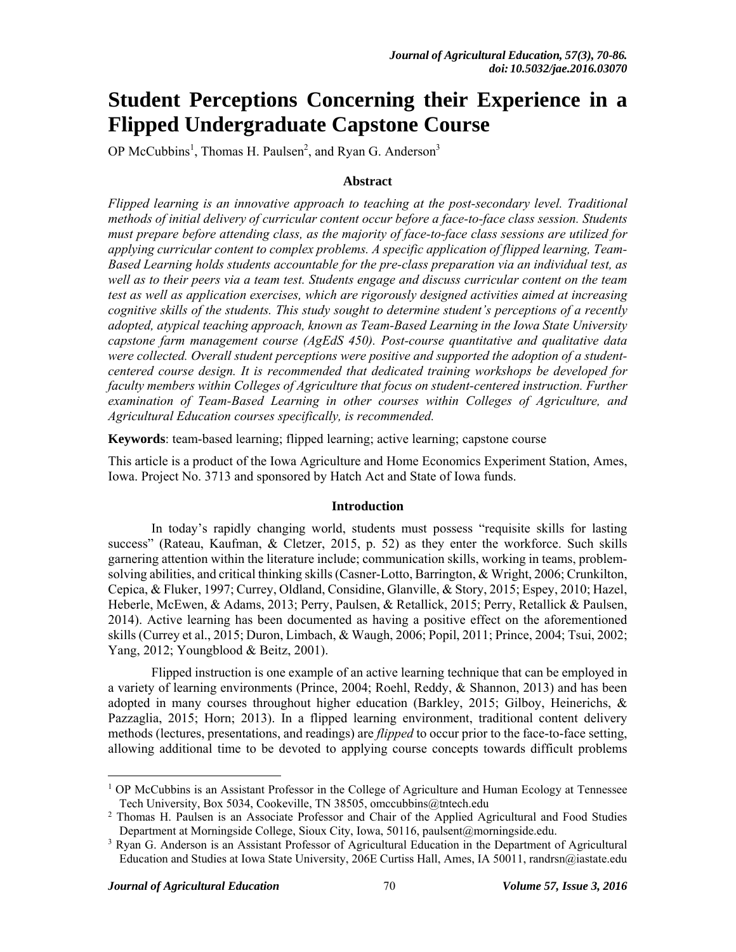# **Student Perceptions Concerning their Experience in a Flipped Undergraduate Capstone Course**

OP McCubbins<sup>1</sup>, Thomas H. Paulsen<sup>2</sup>, and Ryan G. Anderson<sup>3</sup>

#### **Abstract**

*Flipped learning is an innovative approach to teaching at the post-secondary level. Traditional methods of initial delivery of curricular content occur before a face-to-face class session. Students must prepare before attending class, as the majority of face-to-face class sessions are utilized for applying curricular content to complex problems. A specific application of flipped learning, Team-Based Learning holds students accountable for the pre-class preparation via an individual test, as well as to their peers via a team test. Students engage and discuss curricular content on the team test as well as application exercises, which are rigorously designed activities aimed at increasing cognitive skills of the students. This study sought to determine student's perceptions of a recently adopted, atypical teaching approach, known as Team-Based Learning in the Iowa State University capstone farm management course (AgEdS 450). Post-course quantitative and qualitative data were collected. Overall student perceptions were positive and supported the adoption of a studentcentered course design. It is recommended that dedicated training workshops be developed for faculty members within Colleges of Agriculture that focus on student-centered instruction. Further examination of Team-Based Learning in other courses within Colleges of Agriculture, and Agricultural Education courses specifically, is recommended.* 

**Keywords**: team-based learning; flipped learning; active learning; capstone course

This article is a product of the Iowa Agriculture and Home Economics Experiment Station, Ames, Iowa. Project No. 3713 and sponsored by Hatch Act and State of Iowa funds.

#### **Introduction**

In today's rapidly changing world, students must possess "requisite skills for lasting success" (Rateau, Kaufman, & Cletzer, 2015, p. 52) as they enter the workforce. Such skills garnering attention within the literature include; communication skills, working in teams, problemsolving abilities, and critical thinking skills (Casner-Lotto, Barrington, & Wright, 2006; Crunkilton, Cepica, & Fluker, 1997; Currey, Oldland, Considine, Glanville, & Story, 2015; Espey, 2010; Hazel, Heberle, McEwen, & Adams, 2013; Perry, Paulsen, & Retallick, 2015; Perry, Retallick & Paulsen, 2014). Active learning has been documented as having a positive effect on the aforementioned skills (Currey et al., 2015; Duron, Limbach, & Waugh, 2006; Popil, 2011; Prince, 2004; Tsui, 2002; Yang, 2012; Youngblood & Beitz, 2001).

Flipped instruction is one example of an active learning technique that can be employed in a variety of learning environments (Prince, 2004; Roehl, Reddy, & Shannon, 2013) and has been adopted in many courses throughout higher education (Barkley, 2015; Gilboy, Heinerichs, & Pazzaglia, 2015; Horn; 2013). In a flipped learning environment, traditional content delivery methods (lectures, presentations, and readings) are *flipped* to occur prior to the face-to-face setting, allowing additional time to be devoted to applying course concepts towards difficult problems

 $\overline{a}$ 

<sup>&</sup>lt;sup>1</sup> OP McCubbins is an Assistant Professor in the College of Agriculture and Human Ecology at Tennessee Tech University, Box 5034, Cookeville, TN 38505, omccubbins@tntech.edu

<sup>&</sup>lt;sup>2</sup> Thomas H. Paulsen is an Associate Professor and Chair of the Applied Agricultural and Food Studies Department at Morningside College, Sioux City, Iowa, 50116, paulsent@morningside.edu.

<sup>&</sup>lt;sup>3</sup> Ryan G. Anderson is an Assistant Professor of Agricultural Education in the Department of Agricultural Education and Studies at Iowa State University, 206E Curtiss Hall, Ames, IA 50011, randrsn@iastate.edu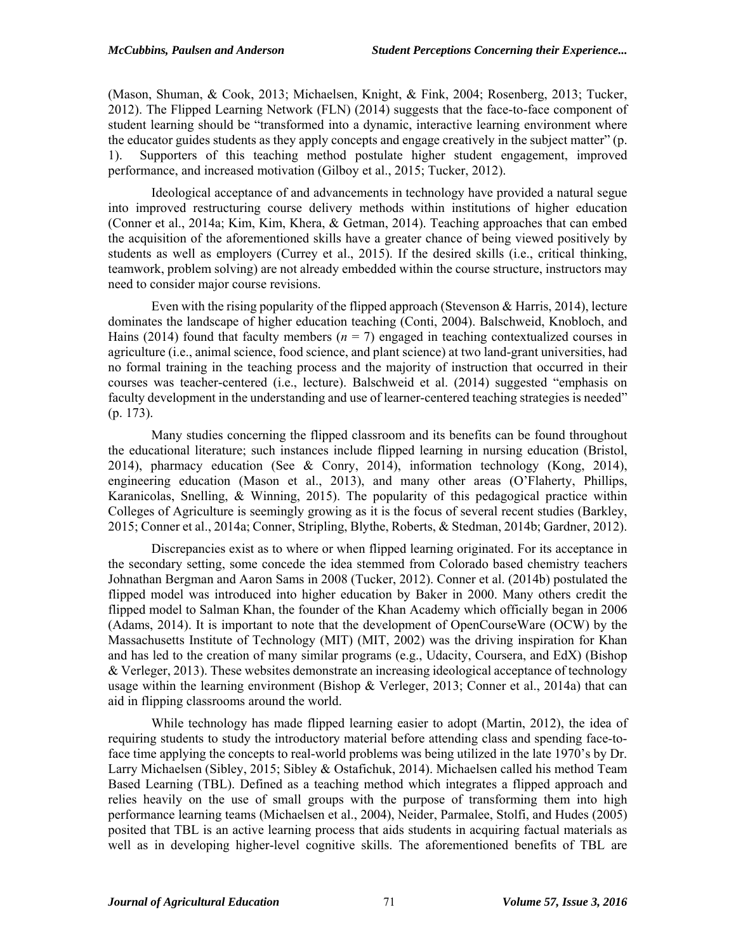(Mason, Shuman, & Cook, 2013; Michaelsen, Knight, & Fink, 2004; Rosenberg, 2013; Tucker, 2012). The Flipped Learning Network (FLN) (2014) suggests that the face-to-face component of student learning should be "transformed into a dynamic, interactive learning environment where the educator guides students as they apply concepts and engage creatively in the subject matter" (p. 1). Supporters of this teaching method postulate higher student engagement, improved performance, and increased motivation (Gilboy et al., 2015; Tucker, 2012).

Ideological acceptance of and advancements in technology have provided a natural segue into improved restructuring course delivery methods within institutions of higher education (Conner et al., 2014a; Kim, Kim, Khera, & Getman, 2014). Teaching approaches that can embed the acquisition of the aforementioned skills have a greater chance of being viewed positively by students as well as employers (Currey et al., 2015). If the desired skills (i.e., critical thinking, teamwork, problem solving) are not already embedded within the course structure, instructors may need to consider major course revisions.

Even with the rising popularity of the flipped approach (Stevenson & Harris, 2014), lecture dominates the landscape of higher education teaching (Conti, 2004). Balschweid, Knobloch, and Hains (2014) found that faculty members  $(n = 7)$  engaged in teaching contextualized courses in agriculture (i.e., animal science, food science, and plant science) at two land-grant universities, had no formal training in the teaching process and the majority of instruction that occurred in their courses was teacher-centered (i.e., lecture). Balschweid et al. (2014) suggested "emphasis on faculty development in the understanding and use of learner-centered teaching strategies is needed" (p. 173).

Many studies concerning the flipped classroom and its benefits can be found throughout the educational literature; such instances include flipped learning in nursing education (Bristol, 2014), pharmacy education (See & Conry, 2014), information technology (Kong, 2014), engineering education (Mason et al., 2013), and many other areas (O'Flaherty, Phillips, Karanicolas, Snelling, & Winning, 2015). The popularity of this pedagogical practice within Colleges of Agriculture is seemingly growing as it is the focus of several recent studies (Barkley, 2015; Conner et al., 2014a; Conner, Stripling, Blythe, Roberts, & Stedman, 2014b; Gardner, 2012).

Discrepancies exist as to where or when flipped learning originated. For its acceptance in the secondary setting, some concede the idea stemmed from Colorado based chemistry teachers Johnathan Bergman and Aaron Sams in 2008 (Tucker, 2012). Conner et al. (2014b) postulated the flipped model was introduced into higher education by Baker in 2000. Many others credit the flipped model to Salman Khan, the founder of the Khan Academy which officially began in 2006 (Adams, 2014). It is important to note that the development of OpenCourseWare (OCW) by the Massachusetts Institute of Technology (MIT) (MIT, 2002) was the driving inspiration for Khan and has led to the creation of many similar programs (e.g., Udacity, Coursera, and EdX) (Bishop & Verleger, 2013). These websites demonstrate an increasing ideological acceptance of technology usage within the learning environment (Bishop & Verleger, 2013; Conner et al., 2014a) that can aid in flipping classrooms around the world.

While technology has made flipped learning easier to adopt (Martin, 2012), the idea of requiring students to study the introductory material before attending class and spending face-toface time applying the concepts to real-world problems was being utilized in the late 1970's by Dr. Larry Michaelsen (Sibley, 2015; Sibley & Ostafichuk, 2014). Michaelsen called his method Team Based Learning (TBL). Defined as a teaching method which integrates a flipped approach and relies heavily on the use of small groups with the purpose of transforming them into high performance learning teams (Michaelsen et al., 2004), Neider, Parmalee, Stolfi, and Hudes (2005) posited that TBL is an active learning process that aids students in acquiring factual materials as well as in developing higher-level cognitive skills. The aforementioned benefits of TBL are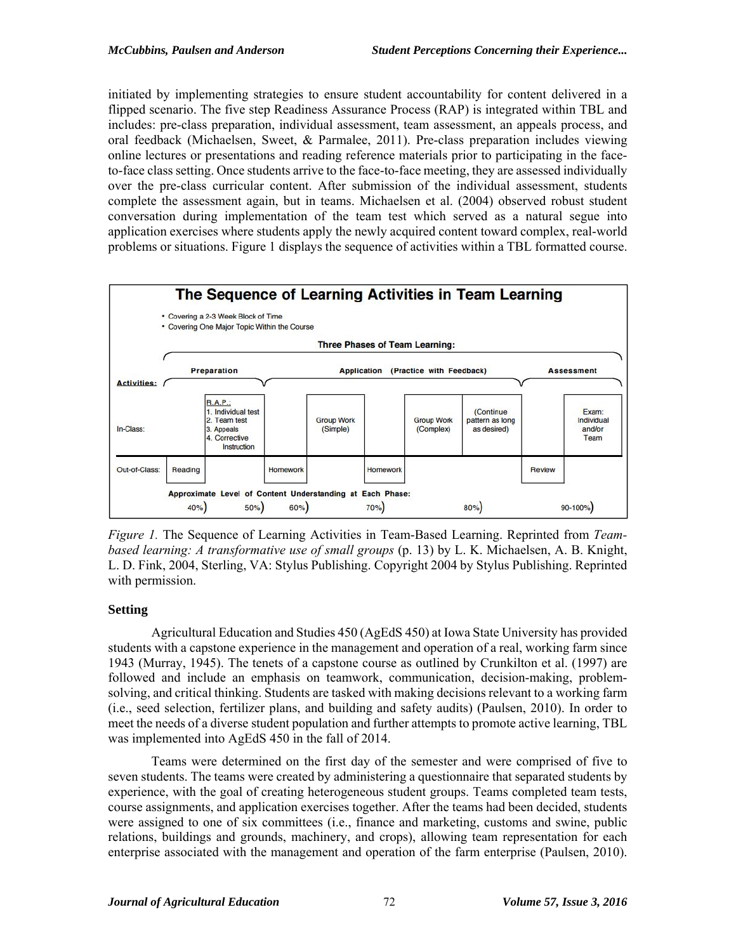initiated by implementing strategies to ensure student accountability for content delivered in a flipped scenario. The five step Readiness Assurance Process (RAP) is integrated within TBL and includes: pre-class preparation, individual assessment, team assessment, an appeals process, and oral feedback (Michaelsen, Sweet, & Parmalee, 2011). Pre-class preparation includes viewing online lectures or presentations and reading reference materials prior to participating in the faceto-face class setting. Once students arrive to the face-to-face meeting, they are assessed individually over the pre-class curricular content. After submission of the individual assessment, students complete the assessment again, but in teams. Michaelsen et al. (2004) observed robust student conversation during implementation of the team test which served as a natural segue into application exercises where students apply the newly acquired content toward complex, real-world problems or situations. Figure 1 displays the sequence of activities within a TBL formatted course.



*Figure 1.* The Sequence of Learning Activities in Team-Based Learning. Reprinted from *Teambased learning: A transformative use of small groups* (p. 13) by L. K. Michaelsen, A. B. Knight, L. D. Fink, 2004, Sterling, VA: Stylus Publishing. Copyright 2004 by Stylus Publishing. Reprinted with permission.

## **Setting**

Agricultural Education and Studies 450 (AgEdS 450) at Iowa State University has provided students with a capstone experience in the management and operation of a real, working farm since 1943 (Murray, 1945). The tenets of a capstone course as outlined by Crunkilton et al. (1997) are followed and include an emphasis on teamwork, communication, decision-making, problemsolving, and critical thinking. Students are tasked with making decisions relevant to a working farm (i.e., seed selection, fertilizer plans, and building and safety audits) (Paulsen, 2010). In order to meet the needs of a diverse student population and further attempts to promote active learning, TBL was implemented into AgEdS 450 in the fall of 2014.

Teams were determined on the first day of the semester and were comprised of five to seven students. The teams were created by administering a questionnaire that separated students by experience, with the goal of creating heterogeneous student groups. Teams completed team tests, course assignments, and application exercises together. After the teams had been decided, students were assigned to one of six committees (i.e., finance and marketing, customs and swine, public relations, buildings and grounds, machinery, and crops), allowing team representation for each enterprise associated with the management and operation of the farm enterprise (Paulsen, 2010).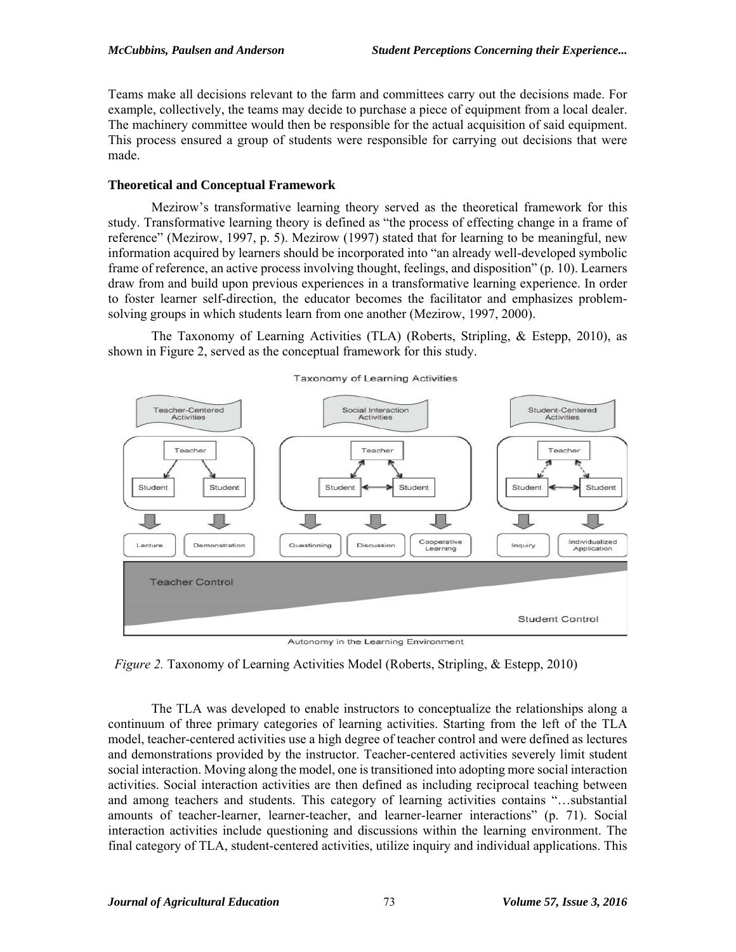Teams make all decisions relevant to the farm and committees carry out the decisions made. For example, collectively, the teams may decide to purchase a piece of equipment from a local dealer. The machinery committee would then be responsible for the actual acquisition of said equipment. This process ensured a group of students were responsible for carrying out decisions that were made.

## **Theoretical and Conceptual Framework**

Mezirow's transformative learning theory served as the theoretical framework for this study. Transformative learning theory is defined as "the process of effecting change in a frame of reference" (Mezirow, 1997, p. 5). Mezirow (1997) stated that for learning to be meaningful, new information acquired by learners should be incorporated into "an already well-developed symbolic frame of reference, an active process involving thought, feelings, and disposition" (p. 10). Learners draw from and build upon previous experiences in a transformative learning experience. In order to foster learner self-direction, the educator becomes the facilitator and emphasizes problemsolving groups in which students learn from one another (Mezirow, 1997, 2000).

The Taxonomy of Learning Activities (TLA) (Roberts, Stripling, & Estepp, 2010), as shown in Figure 2, served as the conceptual framework for this study.



Autonomy in the Learning Environment

*Figure 2.* Taxonomy of Learning Activities Model (Roberts, Stripling, & Estepp, 2010)

The TLA was developed to enable instructors to conceptualize the relationships along a continuum of three primary categories of learning activities. Starting from the left of the TLA model, teacher-centered activities use a high degree of teacher control and were defined as lectures and demonstrations provided by the instructor. Teacher-centered activities severely limit student social interaction. Moving along the model, one is transitioned into adopting more social interaction activities. Social interaction activities are then defined as including reciprocal teaching between and among teachers and students. This category of learning activities contains "…substantial amounts of teacher-learner, learner-teacher, and learner-learner interactions" (p. 71). Social interaction activities include questioning and discussions within the learning environment. The final category of TLA, student-centered activities, utilize inquiry and individual applications. This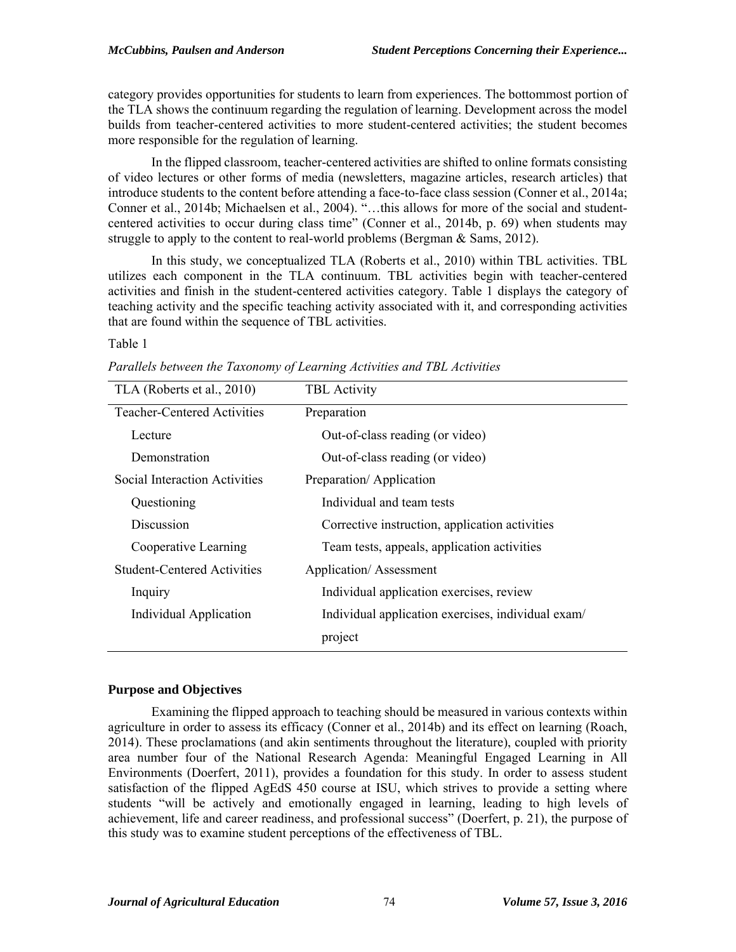category provides opportunities for students to learn from experiences. The bottommost portion of the TLA shows the continuum regarding the regulation of learning. Development across the model builds from teacher-centered activities to more student-centered activities; the student becomes more responsible for the regulation of learning.

In the flipped classroom, teacher-centered activities are shifted to online formats consisting of video lectures or other forms of media (newsletters, magazine articles, research articles) that introduce students to the content before attending a face-to-face class session (Conner et al., 2014a; Conner et al., 2014b; Michaelsen et al., 2004). "…this allows for more of the social and studentcentered activities to occur during class time" (Conner et al., 2014b, p. 69) when students may struggle to apply to the content to real-world problems (Bergman & Sams, 2012).

In this study, we conceptualized TLA (Roberts et al., 2010) within TBL activities. TBL utilizes each component in the TLA continuum. TBL activities begin with teacher-centered activities and finish in the student-centered activities category. Table 1 displays the category of teaching activity and the specific teaching activity associated with it, and corresponding activities that are found within the sequence of TBL activities.

#### Table 1

| TLA (Roberts et al., 2010)         | <b>TBL</b> Activity                                |
|------------------------------------|----------------------------------------------------|
| <b>Teacher-Centered Activities</b> | Preparation                                        |
| Lecture                            | Out-of-class reading (or video)                    |
| Demonstration                      | Out-of-class reading (or video)                    |
| Social Interaction Activities      | Preparation/Application                            |
| Questioning                        | Individual and team tests                          |
| Discussion                         | Corrective instruction, application activities     |
| Cooperative Learning               | Team tests, appeals, application activities        |
| <b>Student-Centered Activities</b> | <b>Application/Assessment</b>                      |
| Inquiry                            | Individual application exercises, review           |
| Individual Application             | Individual application exercises, individual exam/ |
|                                    | project                                            |

*Parallels between the Taxonomy of Learning Activities and TBL Activities*

## **Purpose and Objectives**

Examining the flipped approach to teaching should be measured in various contexts within agriculture in order to assess its efficacy (Conner et al., 2014b) and its effect on learning (Roach, 2014). These proclamations (and akin sentiments throughout the literature), coupled with priority area number four of the National Research Agenda: Meaningful Engaged Learning in All Environments (Doerfert, 2011), provides a foundation for this study. In order to assess student satisfaction of the flipped AgEdS 450 course at ISU, which strives to provide a setting where students "will be actively and emotionally engaged in learning, leading to high levels of achievement, life and career readiness, and professional success" (Doerfert, p. 21), the purpose of this study was to examine student perceptions of the effectiveness of TBL.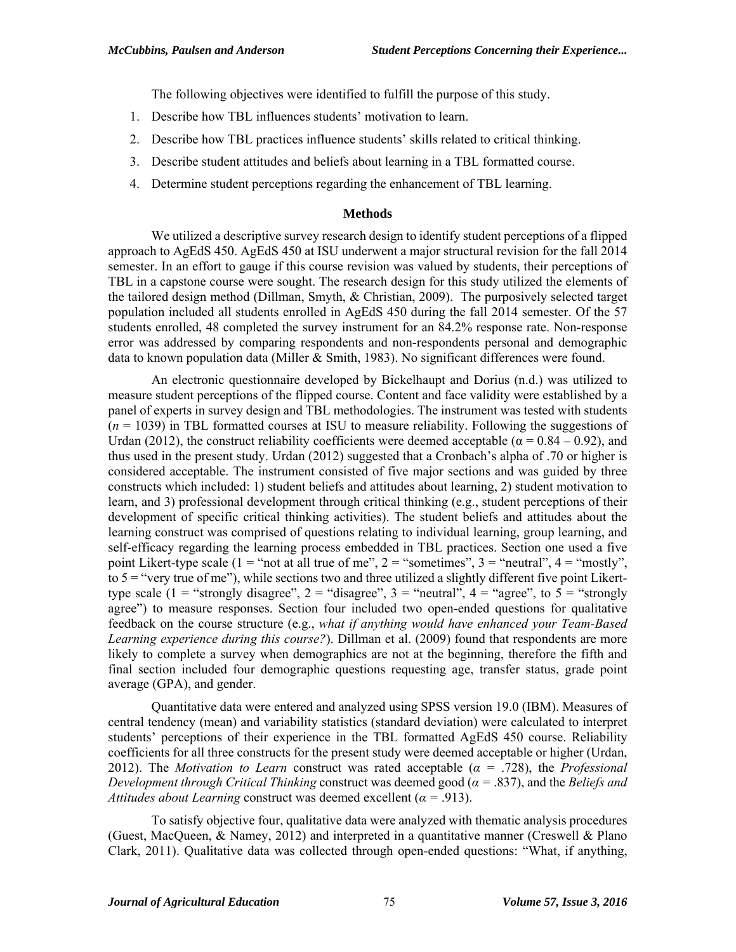The following objectives were identified to fulfill the purpose of this study.

- 1. Describe how TBL influences students' motivation to learn.
- 2. Describe how TBL practices influence students' skills related to critical thinking.
- 3. Describe student attitudes and beliefs about learning in a TBL formatted course.
- 4. Determine student perceptions regarding the enhancement of TBL learning.

#### **Methods**

We utilized a descriptive survey research design to identify student perceptions of a flipped approach to AgEdS 450. AgEdS 450 at ISU underwent a major structural revision for the fall 2014 semester. In an effort to gauge if this course revision was valued by students, their perceptions of TBL in a capstone course were sought. The research design for this study utilized the elements of the tailored design method (Dillman, Smyth, & Christian, 2009). The purposively selected target population included all students enrolled in AgEdS 450 during the fall 2014 semester. Of the 57 students enrolled, 48 completed the survey instrument for an 84.2% response rate. Non-response error was addressed by comparing respondents and non-respondents personal and demographic data to known population data (Miller & Smith, 1983). No significant differences were found.

An electronic questionnaire developed by Bickelhaupt and Dorius (n.d.) was utilized to measure student perceptions of the flipped course. Content and face validity were established by a panel of experts in survey design and TBL methodologies. The instrument was tested with students (*n* = 1039) in TBL formatted courses at ISU to measure reliability. Following the suggestions of Urdan (2012), the construct reliability coefficients were deemed acceptable ( $\alpha = 0.84 - 0.92$ ), and thus used in the present study. Urdan (2012) suggested that a Cronbach's alpha of .70 or higher is considered acceptable. The instrument consisted of five major sections and was guided by three constructs which included: 1) student beliefs and attitudes about learning, 2) student motivation to learn, and 3) professional development through critical thinking (e.g., student perceptions of their development of specific critical thinking activities). The student beliefs and attitudes about the learning construct was comprised of questions relating to individual learning, group learning, and self-efficacy regarding the learning process embedded in TBL practices. Section one used a five point Likert-type scale (1 = "not at all true of me", 2 = "sometimes", 3 = "neutral",  $4 =$  "mostly", to  $5 =$  "very true of me"), while sections two and three utilized a slightly different five point Likerttype scale (1 = "strongly disagree", 2 = "disagree", 3 = "neutral",  $4 =$  "agree", to  $5 =$  "strongly" agree") to measure responses. Section four included two open-ended questions for qualitative feedback on the course structure (e.g., *what if anything would have enhanced your Team-Based Learning experience during this course?*). Dillman et al. (2009) found that respondents are more likely to complete a survey when demographics are not at the beginning, therefore the fifth and final section included four demographic questions requesting age, transfer status, grade point average (GPA), and gender.

Quantitative data were entered and analyzed using SPSS version 19.0 (IBM). Measures of central tendency (mean) and variability statistics (standard deviation) were calculated to interpret students' perceptions of their experience in the TBL formatted AgEdS 450 course. Reliability coefficients for all three constructs for the present study were deemed acceptable or higher (Urdan, 2012). The *Motivation to Learn* construct was rated acceptable (*α =* .728), the *Professional Development through Critical Thinking* construct was deemed good (*α =* .837), and the *Beliefs and Attitudes about Learning* construct was deemed excellent ( $\alpha$  = .913).

To satisfy objective four, qualitative data were analyzed with thematic analysis procedures (Guest, MacQueen, & Namey, 2012) and interpreted in a quantitative manner (Creswell & Plano Clark, 2011). Qualitative data was collected through open-ended questions: "What, if anything,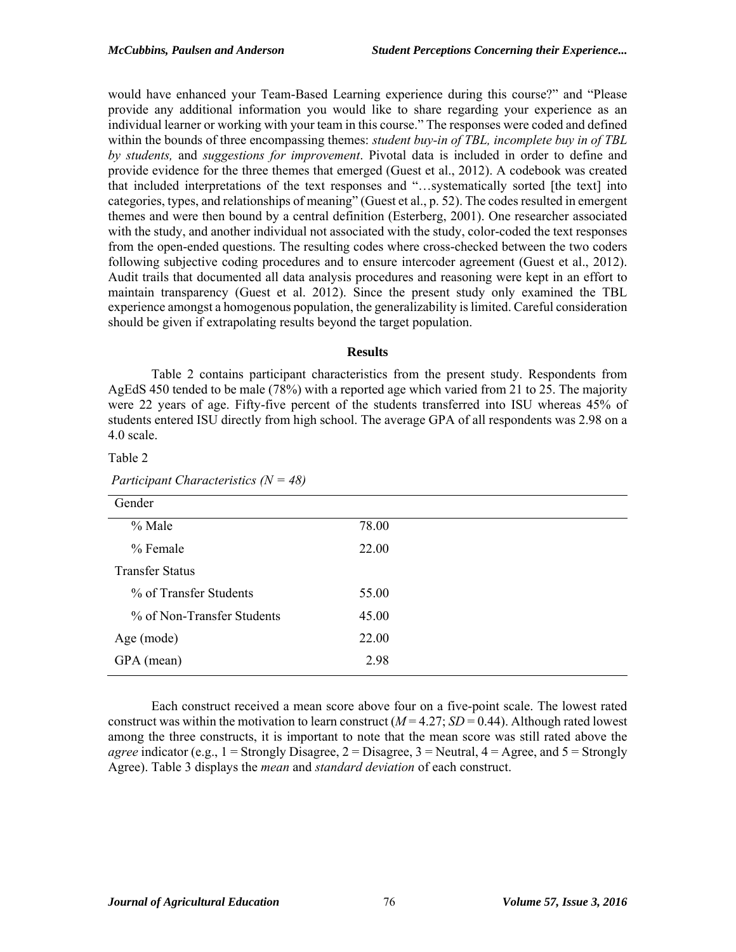would have enhanced your Team-Based Learning experience during this course?" and "Please provide any additional information you would like to share regarding your experience as an individual learner or working with your team in this course." The responses were coded and defined within the bounds of three encompassing themes: *student buy-in of TBL, incomplete buy in of TBL by students,* and *suggestions for improvement*. Pivotal data is included in order to define and provide evidence for the three themes that emerged (Guest et al., 2012). A codebook was created that included interpretations of the text responses and "…systematically sorted [the text] into categories, types, and relationships of meaning" (Guest et al., p. 52). The codes resulted in emergent themes and were then bound by a central definition (Esterberg, 2001). One researcher associated with the study, and another individual not associated with the study, color-coded the text responses from the open-ended questions. The resulting codes where cross-checked between the two coders following subjective coding procedures and to ensure intercoder agreement (Guest et al., 2012). Audit trails that documented all data analysis procedures and reasoning were kept in an effort to maintain transparency (Guest et al. 2012). Since the present study only examined the TBL experience amongst a homogenous population, the generalizability is limited. Careful consideration should be given if extrapolating results beyond the target population.

#### **Results**

Table 2 contains participant characteristics from the present study. Respondents from AgEdS 450 tended to be male (78%) with a reported age which varied from 21 to 25. The majority were 22 years of age. Fifty-five percent of the students transferred into ISU whereas 45% of students entered ISU directly from high school. The average GPA of all respondents was 2.98 on a 4.0 scale.

Table 2

| Gender                     |       |
|----------------------------|-------|
|                            |       |
| % Male                     | 78.00 |
| % Female                   | 22.00 |
| <b>Transfer Status</b>     |       |
| % of Transfer Students     | 55.00 |
| % of Non-Transfer Students | 45.00 |
| Age (mode)                 | 22.00 |
| GPA (mean)                 | 2.98  |

 *Participant Characteristics (N = 48)*

Each construct received a mean score above four on a five-point scale. The lowest rated construct was within the motivation to learn construct  $(M = 4.27; SD = 0.44)$ . Although rated lowest among the three constructs, it is important to note that the mean score was still rated above the *agree* indicator (e.g.,  $1 =$  Strongly Disagree,  $2 =$  Disagree,  $3 =$  Neutral,  $4 =$  Agree, and  $5 =$  Strongly Agree). Table 3 displays the *mean* and *standard deviation* of each construct.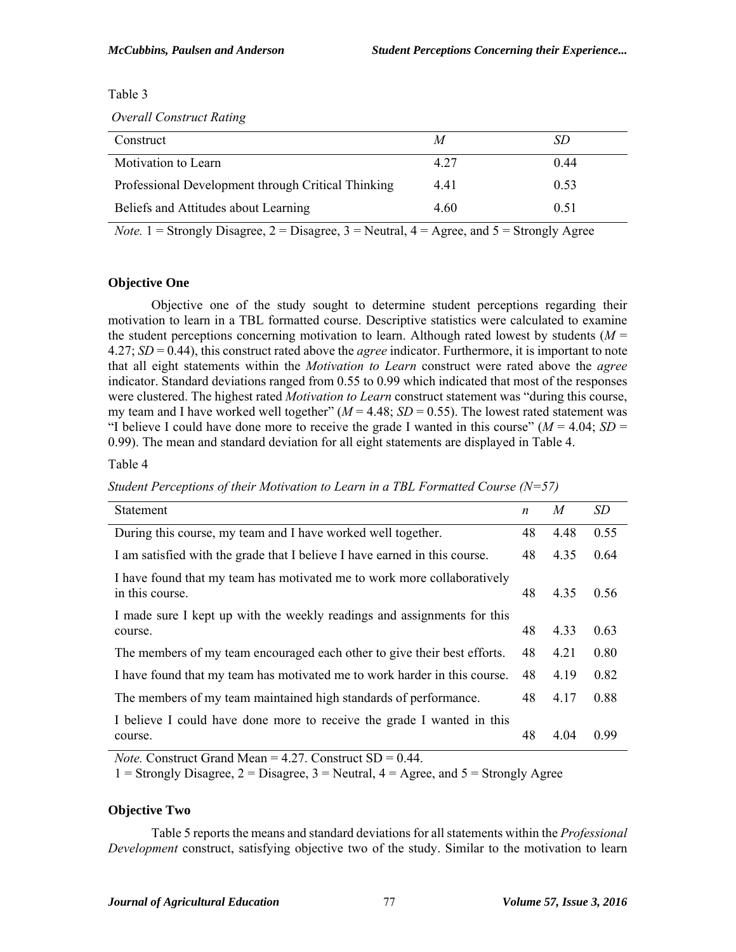Table 3

 *Overall Construct Rating*

| Construct                                          | M    | SD   |
|----------------------------------------------------|------|------|
| Motivation to Learn                                | 4 27 | 0.44 |
| Professional Development through Critical Thinking | 4.41 | 0.53 |
| Beliefs and Attitudes about Learning               | 4.60 | 0.51 |

*Note.*  $1 =$  Strongly Disagree,  $2 =$  Disagree,  $3 =$  Neutral,  $4 =$  Agree, and  $5 =$  Strongly Agree

# **Objective One**

 Objective one of the study sought to determine student perceptions regarding their motivation to learn in a TBL formatted course. Descriptive statistics were calculated to examine the student perceptions concerning motivation to learn. Although rated lowest by students  $(M =$ 4.27; *SD* = 0.44), this construct rated above the *agree* indicator. Furthermore, it is important to note that all eight statements within the *Motivation to Learn* construct were rated above the *agree*  indicator. Standard deviations ranged from 0.55 to 0.99 which indicated that most of the responses were clustered. The highest rated *Motivation to Learn* construct statement was "during this course, my team and I have worked well together"  $(M = 4.48; SD = 0.55)$ . The lowest rated statement was "I believe I could have done more to receive the grade I wanted in this course" ( $M = 4.04$ ;  $SD =$ 0.99). The mean and standard deviation for all eight statements are displayed in Table 4.

Table 4

|  |  | Student Perceptions of their Motivation to Learn in a TBL Formatted Course ( $N=57$ ) |  |
|--|--|---------------------------------------------------------------------------------------|--|
|--|--|---------------------------------------------------------------------------------------|--|

| <b>Statement</b>                                                                           | n  | $\overline{M}$ | SD   |
|--------------------------------------------------------------------------------------------|----|----------------|------|
| During this course, my team and I have worked well together.                               | 48 | 4.48           | 0.55 |
| I am satisfied with the grade that I believe I have earned in this course.                 | 48 | 4.35           | 0.64 |
| I have found that my team has motivated me to work more collaboratively<br>in this course. | 48 | 4.35           | 0.56 |
| I made sure I kept up with the weekly readings and assignments for this                    |    |                |      |
| course.                                                                                    | 48 | 4.33           | 0.63 |
| The members of my team encouraged each other to give their best efforts.                   | 48 | 4.21           | 0.80 |
| I have found that my team has motivated me to work harder in this course.                  | 48 | 4.19           | 0.82 |
| The members of my team maintained high standards of performance.                           | 48 | 4.17           | 0.88 |
| I believe I could have done more to receive the grade I wanted in this                     |    |                |      |
| course.                                                                                    | 48 | 4.04           | 0.99 |

*Note.* Construct Grand Mean = 4.27. Construct SD = 0.44.

1 = Strongly Disagree,  $2 =$  Disagree,  $3 =$  Neutral,  $4 =$  Agree, and  $5 =$  Strongly Agree

## **Objective Two**

Table 5 reports the means and standard deviations for all statements within the *Professional Development* construct, satisfying objective two of the study. Similar to the motivation to learn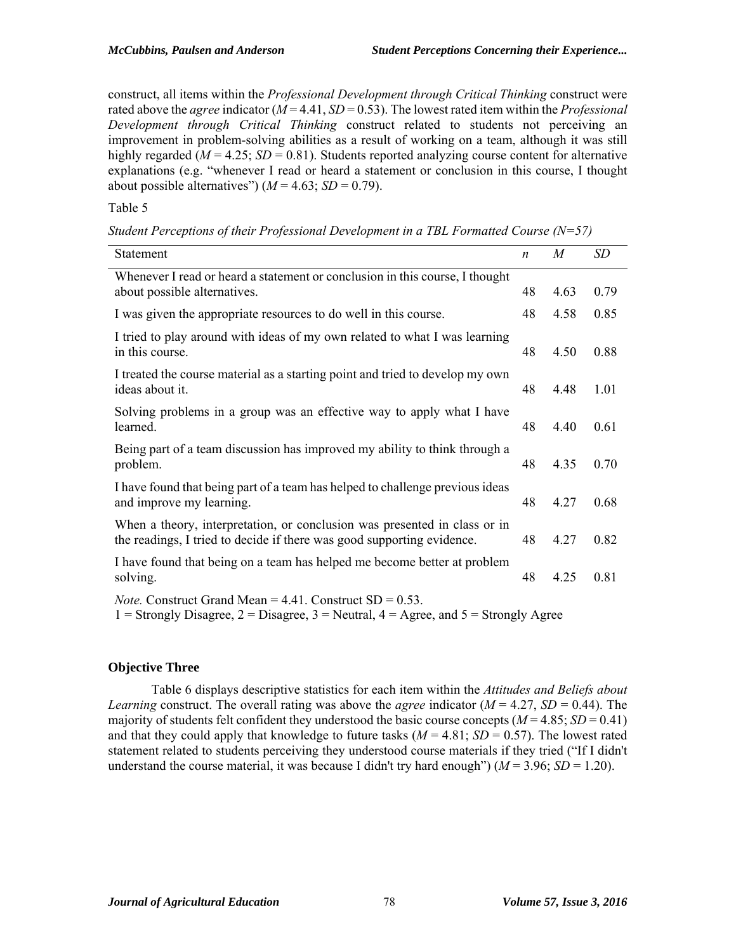construct, all items within the *Professional Development through Critical Thinking* construct were rated above the *agree* indicator (*M* = 4.41, *SD* = 0.53). The lowest rated item within the *Professional Development through Critical Thinking* construct related to students not perceiving an improvement in problem-solving abilities as a result of working on a team, although it was still highly regarded ( $M = 4.25$ ;  $SD = 0.81$ ). Students reported analyzing course content for alternative explanations (e.g. "whenever I read or heard a statement or conclusion in this course, I thought about possible alternatives")  $(M = 4.63; SD = 0.79)$ .

Table 5

| Statement                                                                                                                                                                      | $\boldsymbol{n}$ | $\overline{M}$ | SD   |
|--------------------------------------------------------------------------------------------------------------------------------------------------------------------------------|------------------|----------------|------|
| Whenever I read or heard a statement or conclusion in this course, I thought<br>about possible alternatives.                                                                   | 48               | 4.63           | 0.79 |
| I was given the appropriate resources to do well in this course.                                                                                                               | 48               | 4.58           | 0.85 |
| I tried to play around with ideas of my own related to what I was learning<br>in this course.                                                                                  | 48               | 4.50           | 0.88 |
| I treated the course material as a starting point and tried to develop my own<br>ideas about it.                                                                               | 48               | 4.48           | 1.01 |
| Solving problems in a group was an effective way to apply what I have<br>learned.                                                                                              | 48               | 4.40           | 0.61 |
| Being part of a team discussion has improved my ability to think through a<br>problem.                                                                                         | 48               | 4.35           | 0.70 |
| I have found that being part of a team has helped to challenge previous ideas<br>and improve my learning.                                                                      | 48               | 4.27           | 0.68 |
| When a theory, interpretation, or conclusion was presented in class or in<br>the readings, I tried to decide if there was good supporting evidence.                            | 48               | 4.27           | 0.82 |
| I have found that being on a team has helped me become better at problem<br>solving.                                                                                           | 48               | 4.25           | 0.81 |
| <i>Note.</i> Construct Grand Mean = $4.41$ . Construct SD = $0.53$ .<br>1 = Strongly Disagree, 2 = Disagree, 3 = Neutral, $4 = \text{Agree}$ , and $5 = \text{Strongly Agree}$ |                  |                |      |

# **Objective Three**

Table 6 displays descriptive statistics for each item within the *Attitudes and Beliefs about Learning* construct. The overall rating was above the *agree* indicator  $(M = 4.27, SD = 0.44)$ . The majority of students felt confident they understood the basic course concepts  $(M = 4.85; SD = 0.41)$ and that they could apply that knowledge to future tasks  $(M = 4.81; SD = 0.57)$ . The lowest rated statement related to students perceiving they understood course materials if they tried ("If I didn't understand the course material, it was because I didn't try hard enough")  $(M = 3.96; SD = 1.20)$ .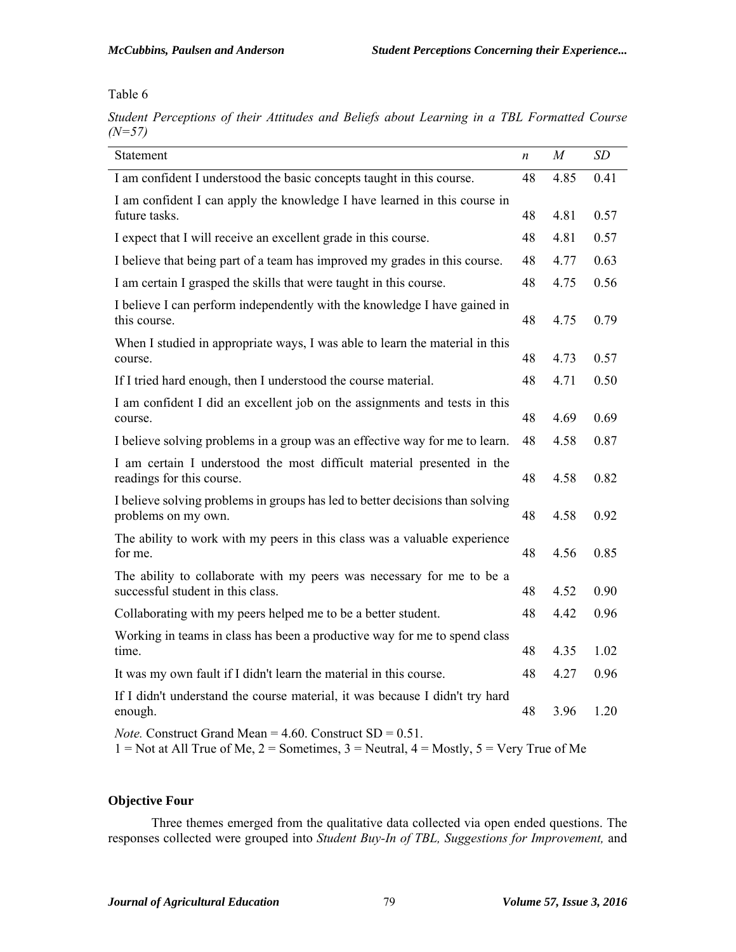Table 6

*Student Perceptions of their Attitudes and Beliefs about Learning in a TBL Formatted Course (N=57)*

| Statement                                                                                                                                                        | n  | $\boldsymbol{M}$ | SD   |
|------------------------------------------------------------------------------------------------------------------------------------------------------------------|----|------------------|------|
| I am confident I understood the basic concepts taught in this course.                                                                                            | 48 | 4.85             | 0.41 |
| I am confident I can apply the knowledge I have learned in this course in<br>future tasks.                                                                       | 48 | 4.81             | 0.57 |
| I expect that I will receive an excellent grade in this course.                                                                                                  | 48 | 4.81             | 0.57 |
| I believe that being part of a team has improved my grades in this course.                                                                                       | 48 | 4.77             | 0.63 |
| I am certain I grasped the skills that were taught in this course.                                                                                               | 48 | 4.75             | 0.56 |
| I believe I can perform independently with the knowledge I have gained in<br>this course.                                                                        | 48 | 4.75             | 0.79 |
| When I studied in appropriate ways, I was able to learn the material in this<br>course.                                                                          | 48 | 4.73             | 0.57 |
| If I tried hard enough, then I understood the course material.                                                                                                   | 48 | 4.71             | 0.50 |
| I am confident I did an excellent job on the assignments and tests in this<br>course.                                                                            | 48 | 4.69             | 0.69 |
| I believe solving problems in a group was an effective way for me to learn.                                                                                      | 48 | 4.58             | 0.87 |
| I am certain I understood the most difficult material presented in the<br>readings for this course.                                                              | 48 | 4.58             | 0.82 |
| I believe solving problems in groups has led to better decisions than solving<br>problems on my own.                                                             | 48 | 4.58             | 0.92 |
| The ability to work with my peers in this class was a valuable experience<br>for me.                                                                             | 48 | 4.56             | 0.85 |
| The ability to collaborate with my peers was necessary for me to be a<br>successful student in this class.                                                       | 48 | 4.52             | 0.90 |
| Collaborating with my peers helped me to be a better student.                                                                                                    | 48 | 4.42             | 0.96 |
| Working in teams in class has been a productive way for me to spend class<br>time.                                                                               | 48 | 4.35             | 1.02 |
| It was my own fault if I didn't learn the material in this course.                                                                                               | 48 | 4.27             | 0.96 |
| If I didn't understand the course material, it was because I didn't try hard<br>enough.                                                                          | 48 | 3.96             | 1.20 |
| <i>Note.</i> Construct Grand Mean = $4.60$ . Construct SD = $0.51$ .<br>1 = Not at All True of Me, 2 = Sometimes, 3 = Neutral, $4$ = Mostly, 5 = Very True of Me |    |                  |      |

# **Objective Four**

Three themes emerged from the qualitative data collected via open ended questions. The responses collected were grouped into *Student Buy-In of TBL, Suggestions for Improvement,* and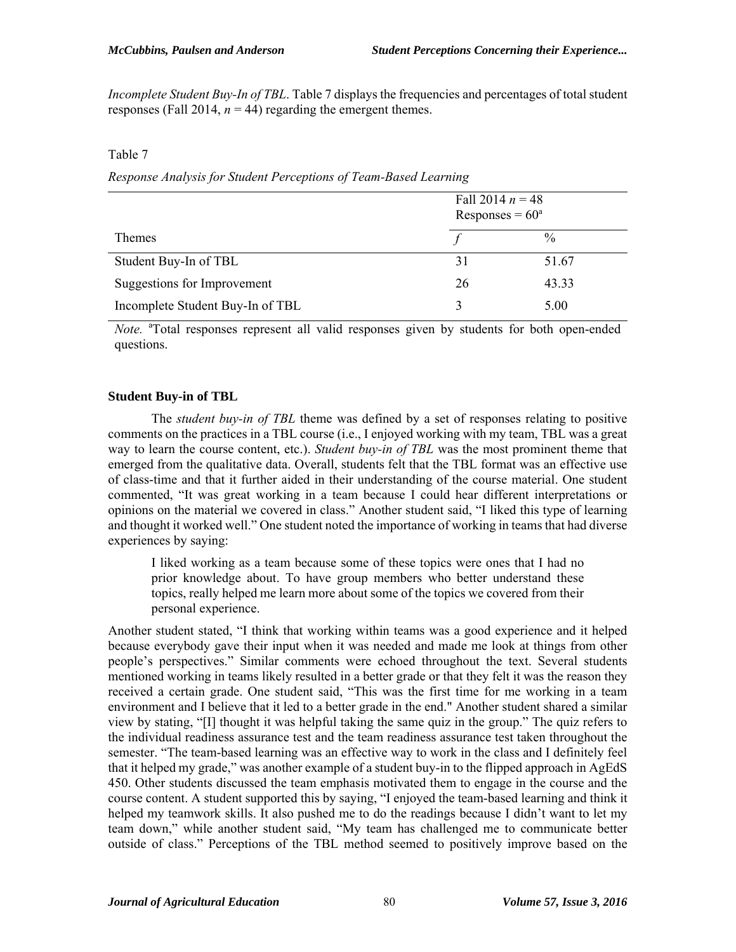*Incomplete Student Buy-In of TBL*. Table 7 displays the frequencies and percentages of total student responses (Fall 2014,  $n = 44$ ) regarding the emergent themes.

#### Table 7

*Response Analysis for Student Perceptions of Team-Based Learning*

|                                  | Fall 2014 $n = 48$<br>Responses = $60^{\circ}$ |       |
|----------------------------------|------------------------------------------------|-------|
| <b>Themes</b>                    |                                                | $\%$  |
| Student Buy-In of TBL            | 31                                             | 51.67 |
| Suggestions for Improvement      | 26                                             | 43.33 |
| Incomplete Student Buy-In of TBL | $\mathbf{3}$                                   | 5.00  |

Note. <sup>a</sup>Total responses represent all valid responses given by students for both open-ended questions.

## **Student Buy-in of TBL**

The *student buy-in of TBL* theme was defined by a set of responses relating to positive comments on the practices in a TBL course (i.e., I enjoyed working with my team, TBL was a great way to learn the course content, etc.). *Student buy-in of TBL* was the most prominent theme that emerged from the qualitative data. Overall, students felt that the TBL format was an effective use of class-time and that it further aided in their understanding of the course material. One student commented, "It was great working in a team because I could hear different interpretations or opinions on the material we covered in class." Another student said, "I liked this type of learning and thought it worked well." One student noted the importance of working in teams that had diverse experiences by saying:

I liked working as a team because some of these topics were ones that I had no prior knowledge about. To have group members who better understand these topics, really helped me learn more about some of the topics we covered from their personal experience.

Another student stated, "I think that working within teams was a good experience and it helped because everybody gave their input when it was needed and made me look at things from other people's perspectives." Similar comments were echoed throughout the text. Several students mentioned working in teams likely resulted in a better grade or that they felt it was the reason they received a certain grade. One student said, "This was the first time for me working in a team environment and I believe that it led to a better grade in the end." Another student shared a similar view by stating, "[I] thought it was helpful taking the same quiz in the group." The quiz refers to the individual readiness assurance test and the team readiness assurance test taken throughout the semester. "The team-based learning was an effective way to work in the class and I definitely feel that it helped my grade," was another example of a student buy-in to the flipped approach in AgEdS 450. Other students discussed the team emphasis motivated them to engage in the course and the course content. A student supported this by saying, "I enjoyed the team-based learning and think it helped my teamwork skills. It also pushed me to do the readings because I didn't want to let my team down," while another student said, "My team has challenged me to communicate better outside of class." Perceptions of the TBL method seemed to positively improve based on the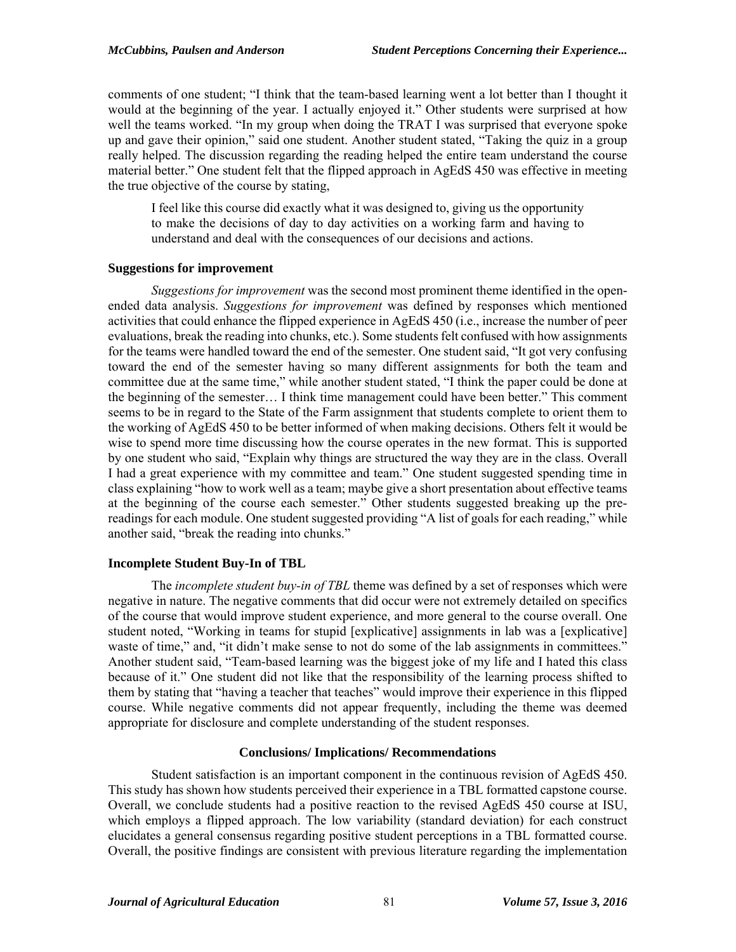comments of one student; "I think that the team-based learning went a lot better than I thought it would at the beginning of the year. I actually enjoyed it." Other students were surprised at how well the teams worked. "In my group when doing the TRAT I was surprised that everyone spoke up and gave their opinion," said one student. Another student stated, "Taking the quiz in a group really helped. The discussion regarding the reading helped the entire team understand the course material better." One student felt that the flipped approach in AgEdS 450 was effective in meeting the true objective of the course by stating,

I feel like this course did exactly what it was designed to, giving us the opportunity to make the decisions of day to day activities on a working farm and having to understand and deal with the consequences of our decisions and actions.

# **Suggestions for improvement**

*Suggestions for improvement* was the second most prominent theme identified in the openended data analysis. *Suggestions for improvement* was defined by responses which mentioned activities that could enhance the flipped experience in AgEdS 450 (i.e., increase the number of peer evaluations, break the reading into chunks, etc.). Some students felt confused with how assignments for the teams were handled toward the end of the semester. One student said, "It got very confusing toward the end of the semester having so many different assignments for both the team and committee due at the same time," while another student stated, "I think the paper could be done at the beginning of the semester… I think time management could have been better." This comment seems to be in regard to the State of the Farm assignment that students complete to orient them to the working of AgEdS 450 to be better informed of when making decisions. Others felt it would be wise to spend more time discussing how the course operates in the new format. This is supported by one student who said, "Explain why things are structured the way they are in the class. Overall I had a great experience with my committee and team." One student suggested spending time in class explaining "how to work well as a team; maybe give a short presentation about effective teams at the beginning of the course each semester." Other students suggested breaking up the prereadings for each module. One student suggested providing "A list of goals for each reading," while another said, "break the reading into chunks."

## **Incomplete Student Buy-In of TBL**

The *incomplete student buy-in of TBL* theme was defined by a set of responses which were negative in nature. The negative comments that did occur were not extremely detailed on specifics of the course that would improve student experience, and more general to the course overall. One student noted, "Working in teams for stupid [explicative] assignments in lab was a [explicative] waste of time," and, "it didn't make sense to not do some of the lab assignments in committees." Another student said, "Team-based learning was the biggest joke of my life and I hated this class because of it." One student did not like that the responsibility of the learning process shifted to them by stating that "having a teacher that teaches" would improve their experience in this flipped course. While negative comments did not appear frequently, including the theme was deemed appropriate for disclosure and complete understanding of the student responses.

## **Conclusions/ Implications/ Recommendations**

Student satisfaction is an important component in the continuous revision of AgEdS 450. This study has shown how students perceived their experience in a TBL formatted capstone course. Overall, we conclude students had a positive reaction to the revised AgEdS 450 course at ISU, which employs a flipped approach. The low variability (standard deviation) for each construct elucidates a general consensus regarding positive student perceptions in a TBL formatted course. Overall, the positive findings are consistent with previous literature regarding the implementation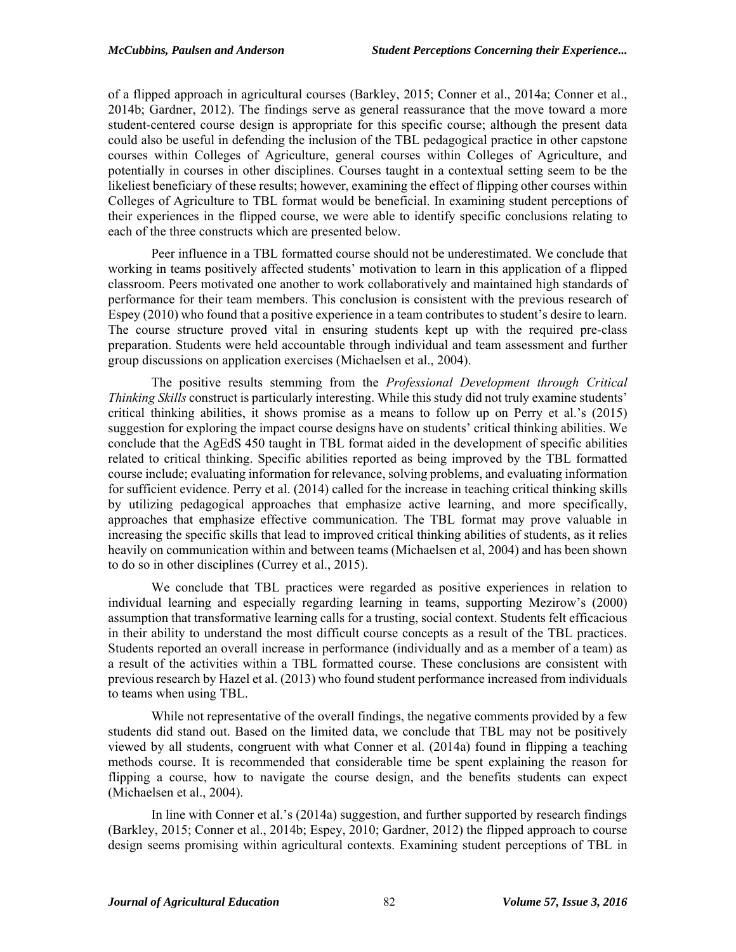of a flipped approach in agricultural courses (Barkley, 2015; Conner et al., 2014a; Conner et al., 2014b; Gardner, 2012). The findings serve as general reassurance that the move toward a more student-centered course design is appropriate for this specific course; although the present data could also be useful in defending the inclusion of the TBL pedagogical practice in other capstone courses within Colleges of Agriculture, general courses within Colleges of Agriculture, and potentially in courses in other disciplines. Courses taught in a contextual setting seem to be the likeliest beneficiary of these results; however, examining the effect of flipping other courses within Colleges of Agriculture to TBL format would be beneficial. In examining student perceptions of their experiences in the flipped course, we were able to identify specific conclusions relating to each of the three constructs which are presented below.

Peer influence in a TBL formatted course should not be underestimated. We conclude that working in teams positively affected students' motivation to learn in this application of a flipped classroom. Peers motivated one another to work collaboratively and maintained high standards of performance for their team members. This conclusion is consistent with the previous research of Espey (2010) who found that a positive experience in a team contributes to student's desire to learn. The course structure proved vital in ensuring students kept up with the required pre-class preparation. Students were held accountable through individual and team assessment and further group discussions on application exercises (Michaelsen et al., 2004).

The positive results stemming from the *Professional Development through Critical Thinking Skills* construct is particularly interesting. While this study did not truly examine students' critical thinking abilities, it shows promise as a means to follow up on Perry et al.'s (2015) suggestion for exploring the impact course designs have on students' critical thinking abilities. We conclude that the AgEdS 450 taught in TBL format aided in the development of specific abilities related to critical thinking. Specific abilities reported as being improved by the TBL formatted course include; evaluating information for relevance, solving problems, and evaluating information for sufficient evidence. Perry et al. (2014) called for the increase in teaching critical thinking skills by utilizing pedagogical approaches that emphasize active learning, and more specifically, approaches that emphasize effective communication. The TBL format may prove valuable in increasing the specific skills that lead to improved critical thinking abilities of students, as it relies heavily on communication within and between teams (Michaelsen et al, 2004) and has been shown to do so in other disciplines (Currey et al., 2015).

 We conclude that TBL practices were regarded as positive experiences in relation to individual learning and especially regarding learning in teams, supporting Mezirow's (2000) assumption that transformative learning calls for a trusting, social context. Students felt efficacious in their ability to understand the most difficult course concepts as a result of the TBL practices. Students reported an overall increase in performance (individually and as a member of a team) as a result of the activities within a TBL formatted course. These conclusions are consistent with previous research by Hazel et al. (2013) who found student performance increased from individuals to teams when using TBL.

 While not representative of the overall findings, the negative comments provided by a few students did stand out. Based on the limited data, we conclude that TBL may not be positively viewed by all students, congruent with what Conner et al. (2014a) found in flipping a teaching methods course. It is recommended that considerable time be spent explaining the reason for flipping a course, how to navigate the course design, and the benefits students can expect (Michaelsen et al., 2004).

In line with Conner et al.'s (2014a) suggestion, and further supported by research findings (Barkley, 2015; Conner et al., 2014b; Espey, 2010; Gardner, 2012) the flipped approach to course design seems promising within agricultural contexts. Examining student perceptions of TBL in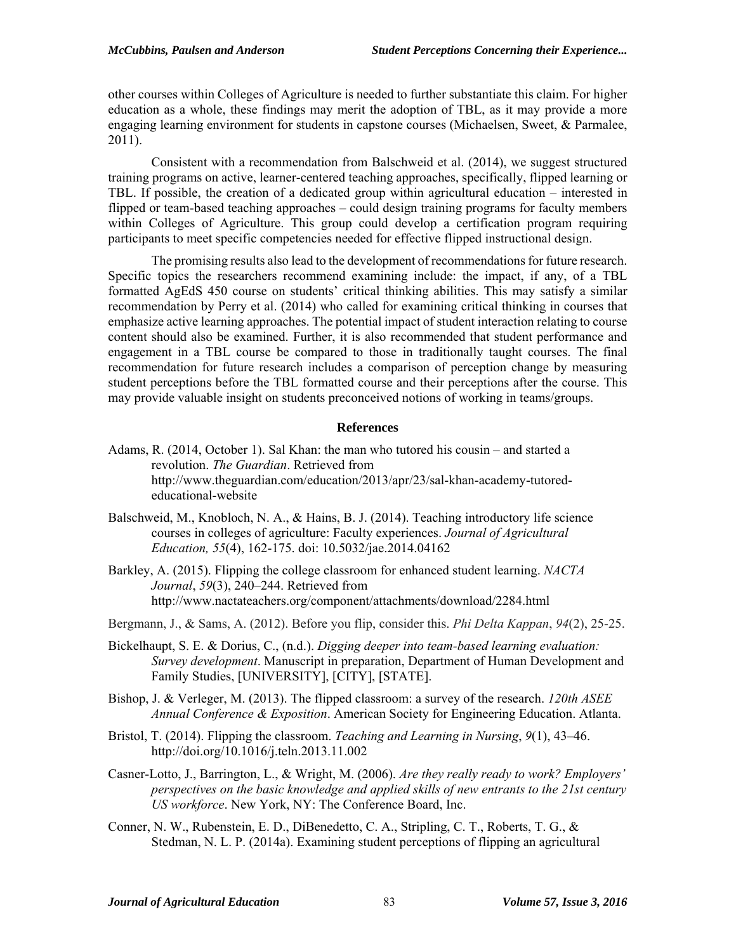other courses within Colleges of Agriculture is needed to further substantiate this claim. For higher education as a whole, these findings may merit the adoption of TBL, as it may provide a more engaging learning environment for students in capstone courses (Michaelsen, Sweet, & Parmalee, 2011).

Consistent with a recommendation from Balschweid et al. (2014), we suggest structured training programs on active, learner-centered teaching approaches, specifically, flipped learning or TBL. If possible, the creation of a dedicated group within agricultural education – interested in flipped or team-based teaching approaches – could design training programs for faculty members within Colleges of Agriculture. This group could develop a certification program requiring participants to meet specific competencies needed for effective flipped instructional design.

The promising results also lead to the development of recommendations for future research. Specific topics the researchers recommend examining include: the impact, if any, of a TBL formatted AgEdS 450 course on students' critical thinking abilities. This may satisfy a similar recommendation by Perry et al. (2014) who called for examining critical thinking in courses that emphasize active learning approaches. The potential impact of student interaction relating to course content should also be examined. Further, it is also recommended that student performance and engagement in a TBL course be compared to those in traditionally taught courses. The final recommendation for future research includes a comparison of perception change by measuring student perceptions before the TBL formatted course and their perceptions after the course. This may provide valuable insight on students preconceived notions of working in teams/groups.

#### **References**

- Adams, R. (2014, October 1). Sal Khan: the man who tutored his cousin and started a revolution. *The Guardian*. Retrieved from http://www.theguardian.com/education/2013/apr/23/sal-khan-academy-tutorededucational-website
- Balschweid, M., Knobloch, N. A., & Hains, B. J. (2014). Teaching introductory life science courses in colleges of agriculture: Faculty experiences. *Journal of Agricultural Education, 55*(4), 162-175. doi: 10.5032/jae.2014.04162
- Barkley, A. (2015). Flipping the college classroom for enhanced student learning. *NACTA Journal*, *59*(3), 240–244. Retrieved from http://www.nactateachers.org/component/attachments/download/2284.html

Bergmann, J., & Sams, A. (2012). Before you flip, consider this. *Phi Delta Kappan*, *94*(2), 25-25.

- Bickelhaupt, S. E. & Dorius, C., (n.d.). *Digging deeper into team-based learning evaluation: Survey development*. Manuscript in preparation, Department of Human Development and Family Studies, [UNIVERSITY], [CITY], [STATE].
- Bishop, J. & Verleger, M. (2013). The flipped classroom: a survey of the research. *120th ASEE Annual Conference & Exposition*. American Society for Engineering Education. Atlanta.
- Bristol, T. (2014). Flipping the classroom. *Teaching and Learning in Nursing*, *9*(1), 43–46. http://doi.org/10.1016/j.teln.2013.11.002
- Casner-Lotto, J., Barrington, L., & Wright, M. (2006). *Are they really ready to work? Employers' perspectives on the basic knowledge and applied skills of new entrants to the 21st century US workforce*. New York, NY: The Conference Board, Inc.
- Conner, N. W., Rubenstein, E. D., DiBenedetto, C. A., Stripling, C. T., Roberts, T. G., & Stedman, N. L. P. (2014a). Examining student perceptions of flipping an agricultural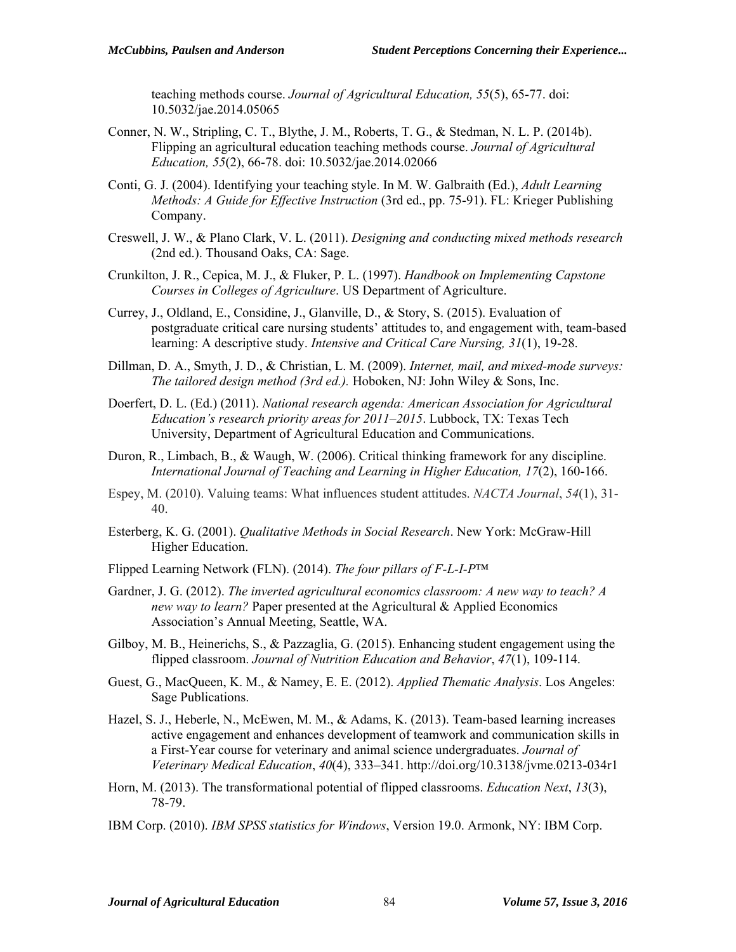teaching methods course. *Journal of Agricultural Education, 55*(5), 65-77. doi: 10.5032/jae.2014.05065

- Conner, N. W., Stripling, C. T., Blythe, J. M., Roberts, T. G., & Stedman, N. L. P. (2014b). Flipping an agricultural education teaching methods course. *Journal of Agricultural Education, 55*(2), 66-78. doi: 10.5032/jae.2014.02066
- Conti, G. J. (2004). Identifying your teaching style. In M. W. Galbraith (Ed.), *Adult Learning Methods: A Guide for Effective Instruction* (3rd ed., pp. 75-91). FL: Krieger Publishing Company.
- Creswell, J. W., & Plano Clark, V. L. (2011). *Designing and conducting mixed methods research*  (2nd ed.). Thousand Oaks, CA: Sage.
- Crunkilton, J. R., Cepica, M. J., & Fluker, P. L. (1997). *Handbook on Implementing Capstone Courses in Colleges of Agriculture*. US Department of Agriculture.
- Currey, J., Oldland, E., Considine, J., Glanville, D., & Story, S. (2015). Evaluation of postgraduate critical care nursing students' attitudes to, and engagement with, team-based learning: A descriptive study. *Intensive and Critical Care Nursing, 31*(1), 19-28.
- Dillman, D. A., Smyth, J. D., & Christian, L. M. (2009). *Internet, mail, and mixed-mode surveys: The tailored design method (3rd ed.).* Hoboken, NJ: John Wiley & Sons, Inc.
- Doerfert, D. L. (Ed.) (2011). *National research agenda: American Association for Agricultural Education's research priority areas for 2011–2015*. Lubbock, TX: Texas Tech University, Department of Agricultural Education and Communications.
- Duron, R., Limbach, B., & Waugh, W. (2006). Critical thinking framework for any discipline. *International Journal of Teaching and Learning in Higher Education, 17*(2), 160-166.
- Espey, M. (2010). Valuing teams: What influences student attitudes. *NACTA Journal*, *54*(1), 31- 40.
- Esterberg, K. G. (2001). *Qualitative Methods in Social Research*. New York: McGraw-Hill Higher Education.
- Flipped Learning Network (FLN). (2014). *The four pillars of F-L-I-P*™
- Gardner, J. G. (2012). *The inverted agricultural economics classroom: A new way to teach? A new way to learn?* Paper presented at the Agricultural & Applied Economics Association's Annual Meeting, Seattle, WA.
- Gilboy, M. B., Heinerichs, S., & Pazzaglia, G. (2015). Enhancing student engagement using the flipped classroom. *Journal of Nutrition Education and Behavior*, *47*(1), 109-114.
- Guest, G., MacQueen, K. M., & Namey, E. E. (2012). *Applied Thematic Analysis*. Los Angeles: Sage Publications.
- Hazel, S. J., Heberle, N., McEwen, M. M., & Adams, K. (2013). Team-based learning increases active engagement and enhances development of teamwork and communication skills in a First-Year course for veterinary and animal science undergraduates. *Journal of Veterinary Medical Education*, *40*(4), 333–341. http://doi.org/10.3138/jvme.0213-034r1
- Horn, M. (2013). The transformational potential of flipped classrooms. *Education Next*, *13*(3), 78-79.
- IBM Corp. (2010). *IBM SPSS statistics for Windows*, Version 19.0. Armonk, NY: IBM Corp.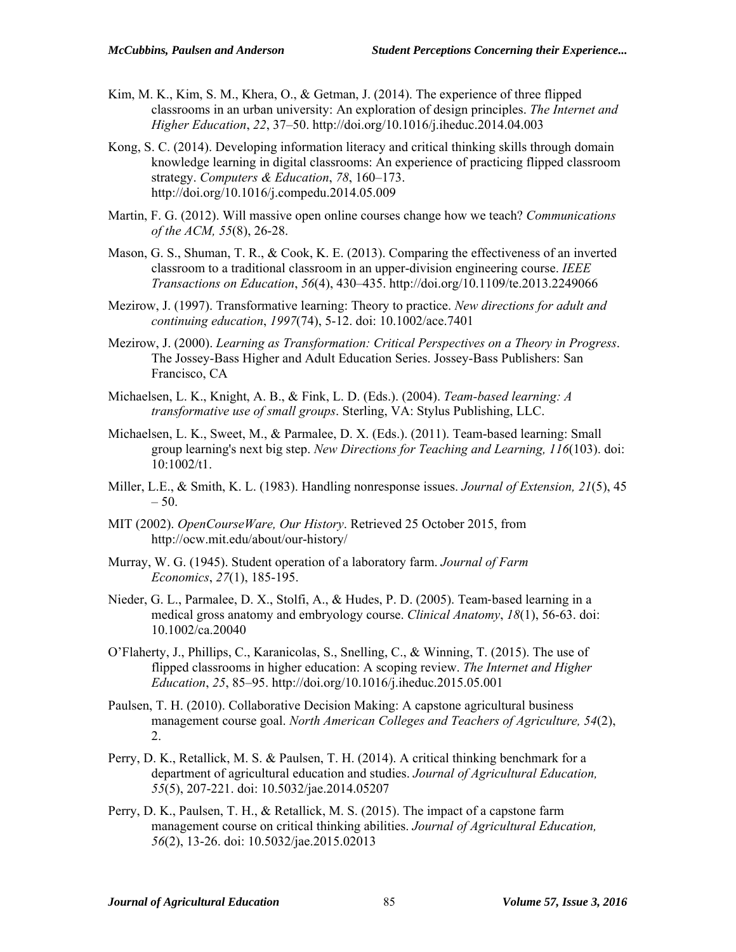- Kim, M. K., Kim, S. M., Khera, O., & Getman, J. (2014). The experience of three flipped classrooms in an urban university: An exploration of design principles. *The Internet and Higher Education*, *22*, 37–50. http://doi.org/10.1016/j.iheduc.2014.04.003
- Kong, S. C. (2014). Developing information literacy and critical thinking skills through domain knowledge learning in digital classrooms: An experience of practicing flipped classroom strategy. *Computers & Education*, *78*, 160–173. http://doi.org/10.1016/j.compedu.2014.05.009
- Martin, F. G. (2012). Will massive open online courses change how we teach? *Communications of the ACM, 55*(8), 26-28.
- Mason, G. S., Shuman, T. R., & Cook, K. E. (2013). Comparing the effectiveness of an inverted classroom to a traditional classroom in an upper-division engineering course. *IEEE Transactions on Education*, *56*(4), 430–435. http://doi.org/10.1109/te.2013.2249066
- Mezirow, J. (1997). Transformative learning: Theory to practice. *New directions for adult and continuing education*, *1997*(74), 5-12. doi: 10.1002/ace.7401
- Mezirow, J. (2000). *Learning as Transformation: Critical Perspectives on a Theory in Progress*. The Jossey-Bass Higher and Adult Education Series. Jossey-Bass Publishers: San Francisco, CA
- Michaelsen, L. K., Knight, A. B., & Fink, L. D. (Eds.). (2004). *Team-based learning: A transformative use of small groups*. Sterling, VA: Stylus Publishing, LLC.
- Michaelsen, L. K., Sweet, M., & Parmalee, D. X. (Eds.). (2011). Team-based learning: Small group learning's next big step. *New Directions for Teaching and Learning, 116*(103). doi: 10:1002/t1.
- Miller, L.E., & Smith, K. L. (1983). Handling nonresponse issues. *Journal of Extension, 21*(5), 45  $-50.$
- MIT (2002). *OpenCourseWare, Our History*. Retrieved 25 October 2015, from http://ocw.mit.edu/about/our-history/
- Murray, W. G. (1945). Student operation of a laboratory farm. *Journal of Farm Economics*, *27*(1), 185-195.
- Nieder, G. L., Parmalee, D. X., Stolfi, A., & Hudes, P. D. (2005). Team‐based learning in a medical gross anatomy and embryology course. *Clinical Anatomy*, *18*(1), 56-63. doi: 10.1002/ca.20040
- O'Flaherty, J., Phillips, C., Karanicolas, S., Snelling, C., & Winning, T. (2015). The use of flipped classrooms in higher education: A scoping review. *The Internet and Higher Education*, *25*, 85–95. http://doi.org/10.1016/j.iheduc.2015.05.001
- Paulsen, T. H. (2010). Collaborative Decision Making: A capstone agricultural business management course goal. *North American Colleges and Teachers of Agriculture, 54*(2), 2.
- Perry, D. K., Retallick, M. S. & Paulsen, T. H. (2014). A critical thinking benchmark for a department of agricultural education and studies. *Journal of Agricultural Education, 55*(5), 207-221. doi: 10.5032/jae.2014.05207
- Perry, D. K., Paulsen, T. H., & Retallick, M. S. (2015). The impact of a capstone farm management course on critical thinking abilities. *Journal of Agricultural Education, 56*(2), 13-26. doi: 10.5032/jae.2015.02013